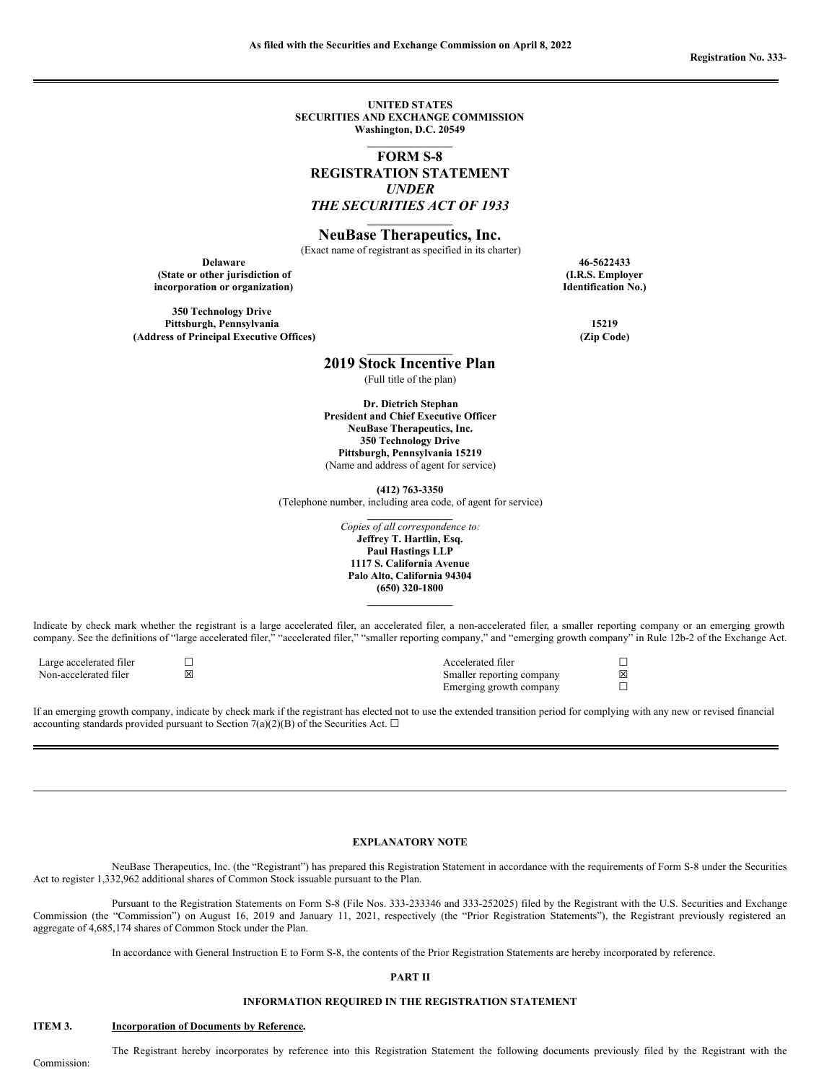**UNITED STATES SECURITIES AND EXCHANGE COMMISSION Washington, D.C. 20549 \_\_\_\_\_\_\_\_\_\_\_\_\_\_\_\_**

**FORM S-8 REGISTRATION STATEMENT** *UNDER THE SECURITIES ACT OF 1933*

## **\_\_\_\_\_\_\_\_\_\_\_\_\_\_\_\_ NeuBase Therapeutics, Inc.**

(Exact name of registrant as specified in its charter)

**Delaware 46-5622433 (State or other jurisdiction of incorporation or organization)**

**350 Technology Drive Pittsburgh, Pennsylvania 15219 (Address of Principal Executive Offices) (Zip Code)**

**(I.R.S. Employer Identification No.)**

**\_\_\_\_\_\_\_\_\_\_\_\_\_\_\_\_ 2019 Stock Incentive Plan**

(Full title of the plan)

**Dr. Dietrich Stephan President and Chief Executive Officer NeuBase Therapeutics, Inc. 350 Technology Drive Pittsburgh, Pennsylvania 15219**

(Name and address of agent for service)

**(412) 763-3350**

(Telephone number, including area code, of agent for service)

**\_\_\_\_\_\_\_\_\_\_\_\_\_\_\_\_** *Copies of all correspondence to:* **Jeffrey T. Hartlin, Esq. Paul Hastings LLP 1117 S. California Avenue Palo Alto, California 94304 (650) 320-1800 \_\_\_\_\_\_\_\_\_\_\_\_\_\_\_\_**

Indicate by check mark whether the registrant is a large accelerated filer, an accelerated filer, a non-accelerated filer, a smaller reporting company or an emerging growth company. See the definitions of "large accelerated filer," "accelerated filer," "smaller reporting company," and "emerging growth company" in Rule 12b-2 of the Exchange Act.

| Large accelerated filer | Accelerated filer         |   |
|-------------------------|---------------------------|---|
| Non-accelerated filer   | Smaller reporting company | 冈 |
|                         | Emerging growth company   |   |

If an emerging growth company, indicate by check mark if the registrant has elected not to use the extended transition period for complying with any new or revised financial accounting standards provided pursuant to Section 7(a)(2)(B) of the Securities Act.  $\Box$ 

#### **EXPLANATORY NOTE**

NeuBase Therapeutics, Inc. (the "Registrant") has prepared this Registration Statement in accordance with the requirements of Form S-8 under the Securities Act to register 1,332,962 additional shares of Common Stock issuable pursuant to the Plan.

Pursuant to the Registration Statements on Form S-8 (File Nos. 333-233346 and 333-252025) filed by the Registrant with the U.S. Securities and Exchange Commission (the "Commission") on August 16, 2019 and January 11, 2021, respectively (the "Prior Registration Statements"), the Registrant previously registered an aggregate of 4,685,174 shares of Common Stock under the Plan.

In accordance with General Instruction E to Form S-8, the contents of the Prior Registration Statements are hereby incorporated by reference.

#### **PART II**

## **INFORMATION REQUIRED IN THE REGISTRATION STATEMENT**

### **ITEM 3. Incorporation of Documents by Reference.**

The Registrant hereby incorporates by reference into this Registration Statement the following documents previously filed by the Registrant with the

Commission: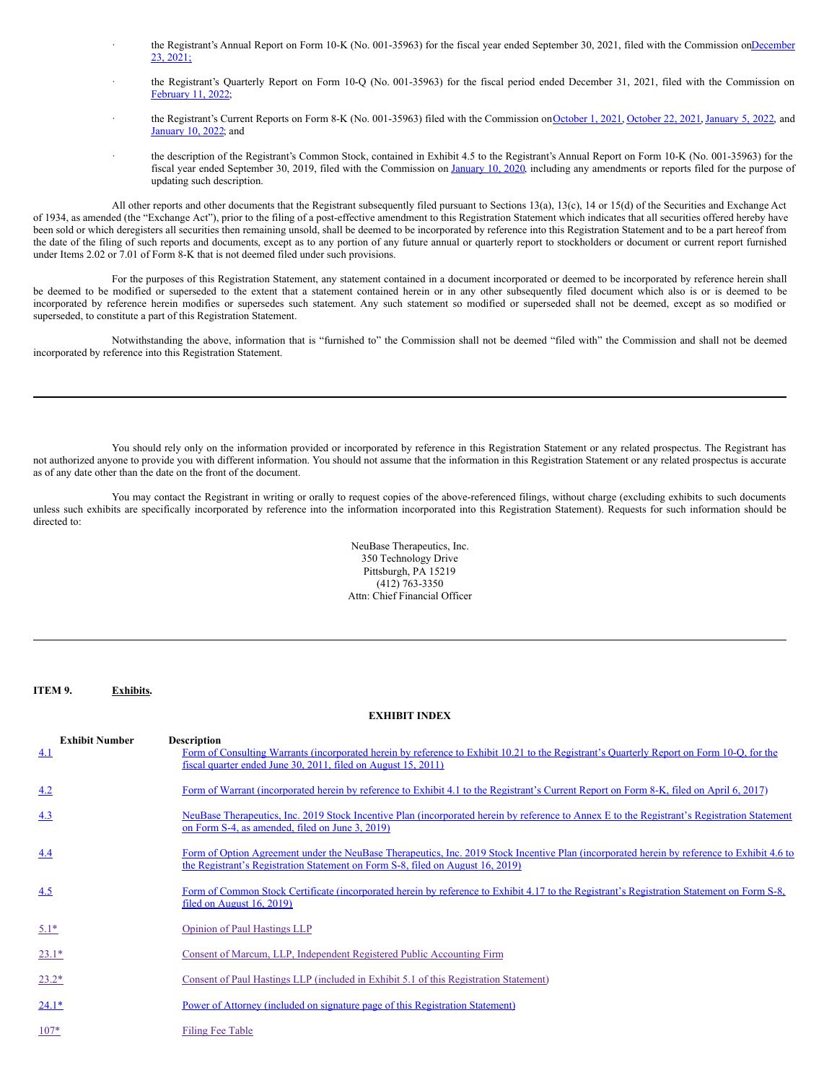- the Registrant's Annual Report on Form 10-K (No. 001-35963) for the fiscal year ended September 30, 2021, filed with the [Commission](http://www.sec.gov/Archives/edgar/data/0001173281/000141057821000599/tmb-20210930x10k.htm) onDecember 23, 2021;
- the Registrant's Quarterly Report on Form 10-Q (No. 001-35963) for the fiscal period ended December 31, 2021, filed with the Commission on [February](https://www.sec.gov/ix?doc=/Archives/edgar/data/1173281/000141057822000115/tmb-20211231x10q.htm) 11, 2022;
- the Registrant's Current Reports on Form 8-K (No. 001-35963) filed with the Commission on [October](http://www.sec.gov/ix?doc=/Archives/edgar/data/0001173281/000110465921128982/tm2130883d1_8k.htm) 1, 2021, October 22, 2021, [January](http://www.sec.gov/Archives/edgar/data/0001173281/000110465922001454/tm2136668d1_8k.htm) 5, 2022, and [January](http://www.sec.gov/Archives/edgar/data/0001173281/000110465922002719/tm222244d3_8k.htm) 10, 2022; and
	- the description of the Registrant's Common Stock, contained in Exhibit 4.5 to the Registrant's Annual Report on Form 10-K (No. 001-35963) for the fiscal year ended September 30, 2019, filed with the Commission on [January](https://www.sec.gov/Archives/edgar/data/0001173281/000110465920003043/tm1927377d1_ex4-5.htm) 10, 2020, including any amendments or reports filed for the purpose of updating such description.

All other reports and other documents that the Registrant subsequently filed pursuant to Sections 13(a), 13(c), 14 or 15(d) of the Securities and Exchange Act of 1934, as amended (the "Exchange Act"), prior to the filing of a post-effective amendment to this Registration Statement which indicates that all securities offered hereby have been sold or which deregisters all securities then remaining unsold, shall be deemed to be incorporated by reference into this Registration Statement and to be a part hereof from the date of the filing of such reports and documents, except as to any portion of any future annual or quarterly report to stockholders or document or current report furnished under Items 2.02 or 7.01 of Form 8-K that is not deemed filed under such provisions.

For the purposes of this Registration Statement, any statement contained in a document incorporated or deemed to be incorporated by reference herein shall be deemed to be modified or superseded to the extent that a statement contained herein or in any other subsequently filed document which also is or is deemed to be incorporated by reference herein modifies or supersedes such statement. Any such statement so modified or superseded shall not be deemed, except as so modified or superseded, to constitute a part of this Registration Statement.

Notwithstanding the above, information that is "furnished to" the Commission shall not be deemed "filed with" the Commission and shall not be deemed incorporated by reference into this Registration Statement.

You should rely only on the information provided or incorporated by reference in this Registration Statement or any related prospectus. The Registrant has not authorized anyone to provide you with different information. You should not assume that the information in this Registration Statement or any related prospectus is accurate as of any date other than the date on the front of the document.

You may contact the Registrant in writing or orally to request copies of the above-referenced filings, without charge (excluding exhibits to such documents unless such exhibits are specifically incorporated by reference into the information incorporated into this Registration Statement). Requests for such information should be directed to:

> NeuBase Therapeutics, Inc. 350 Technology Drive Pittsburgh, PA 15219  $(412)$  763-3350 Attn: Chief Financial Officer

> > **EXHIBIT INDEX**

## **ITEM 9. Exhibits.**

| <b>Exhibit Number</b><br>4.1 | <b>Description</b><br>Form of Consulting Warrants (incorporated herein by reference to Exhibit 10.21 to the Registrant's Quarterly Report on Form 10-Q, for the<br>fiscal quarter ended June 30, 2011, filed on August 15, 2011) |
|------------------------------|----------------------------------------------------------------------------------------------------------------------------------------------------------------------------------------------------------------------------------|
| 4.2                          | Form of Warrant (incorporated herein by reference to Exhibit 4.1 to the Registrant's Current Report on Form 8-K, filed on April 6, 2017)                                                                                         |
| 4.3                          | NeuBase Therapeutics, Inc. 2019 Stock Incentive Plan (incorporated herein by reference to Annex E to the Registrant's Registration Statement<br>on Form S-4, as amended, filed on June 3, 2019)                                  |
| 4.4                          | Form of Option Agreement under the NeuBase Therapeutics, Inc. 2019 Stock Incentive Plan (incorporated herein by reference to Exhibit 4.6 to<br>the Registrant's Registration Statement on Form S-8, filed on August 16, 2019)    |
| 4.5                          | Form of Common Stock Certificate (incorporated herein by reference to Exhibit 4.17 to the Registrant's Registration Statement on Form S-8,<br>filed on August $16, 2019$                                                         |
| $5.1*$                       | Opinion of Paul Hastings LLP                                                                                                                                                                                                     |
| $23.1*$                      | Consent of Marcum, LLP, Independent Registered Public Accounting Firm                                                                                                                                                            |
| $23.2*$                      | Consent of Paul Hastings LLP (included in Exhibit 5.1 of this Registration Statement)                                                                                                                                            |
| $24.1*$                      | Power of Attorney (included on signature page of this Registration Statement)                                                                                                                                                    |
| $107*$                       | Filing Fee Table                                                                                                                                                                                                                 |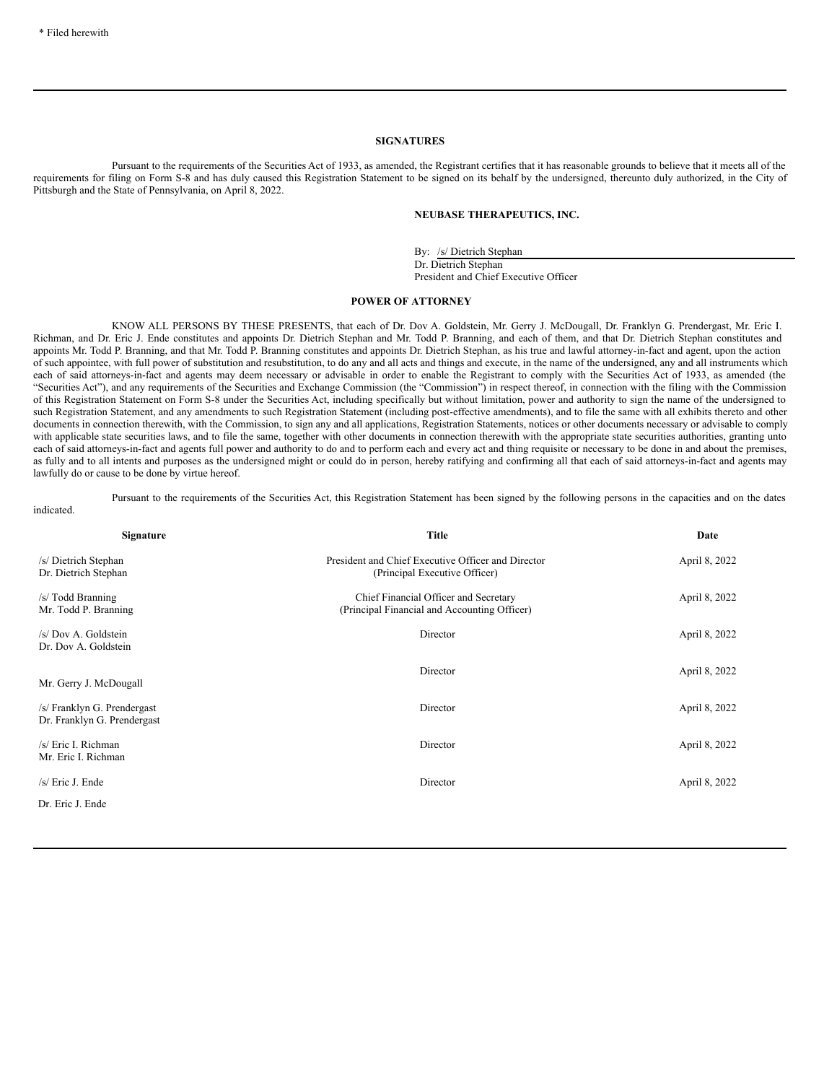#### **SIGNATURES**

Pursuant to the requirements of the Securities Act of 1933, as amended, the Registrant certifies that it has reasonable grounds to believe that it meets all of the requirements for filing on Form S-8 and has duly caused this Registration Statement to be signed on its behalf by the undersigned, thereunto duly authorized, in the City of Pittsburgh and the State of Pennsylvania, on April 8, 2022.

## **NEUBASE THERAPEUTICS, INC.**

By: /s/ Dietrich Stephan Dr. Dietrich Stephan President and Chief Executive Officer

## <span id="page-2-0"></span>**POWER OF ATTORNEY**

KNOW ALL PERSONS BY THESE PRESENTS, that each of Dr. Dov A. Goldstein, Mr. Gerry J. McDougall, Dr. Franklyn G. Prendergast, Mr. Eric I. Richman, and Dr. Eric J. Ende constitutes and appoints Dr. Dietrich Stephan and Mr. Todd P. Branning, and each of them, and that Dr. Dietrich Stephan constitutes and appoints Mr. Todd P. Branning, and that Mr. Todd P. Branning constitutes and appoints Dr. Dietrich Stephan, as his true and lawful attorney-in-fact and agent, upon the action of such appointee, with full power of substitution and resubstitution, to do any and all acts and things and execute, in the name of the undersigned, any and all instruments which each of said attorneys-in-fact and agents may deem necessary or advisable in order to enable the Registrant to comply with the Securities Act of 1933, as amended (the "Securities Act"), and any requirements of the Securities and Exchange Commission (the "Commission") in respect thereof, in connection with the filing with the Commission of this Registration Statement on Form S-8 under the Securities Act, including specifically but without limitation, power and authority to sign the name of the undersigned to such Registration Statement, and any amendments to such Registration Statement (including post-effective amendments), and to file the same with all exhibits thereto and other documents in connection therewith, with the Commission, to sign any and all applications, Registration Statements, notices or other documents necessary or advisable to comply with applicable state securities laws, and to file the same, together with other documents in connection therewith with the appropriate state securities authorities, granting unto each of said attorneys-in-fact and agents full power and authority to do and to perform each and every act and thing requisite or necessary to be done in and about the premises, as fully and to all intents and purposes as the undersigned might or could do in person, hereby ratifying and confirming all that each of said attorneys-in-fact and agents may lawfully do or cause to be done by virtue hereof.

# indicated.

Pursuant to the requirements of the Securities Act, this Registration Statement has been signed by the following persons in the capacities and on the dates

| Signature                                                  | <b>Title</b>                                                                          | Date          |
|------------------------------------------------------------|---------------------------------------------------------------------------------------|---------------|
| /s/ Dietrich Stephan<br>Dr. Dietrich Stephan               | President and Chief Executive Officer and Director<br>(Principal Executive Officer)   | April 8, 2022 |
| /s/ Todd Branning<br>Mr. Todd P. Branning                  | Chief Financial Officer and Secretary<br>(Principal Financial and Accounting Officer) | April 8, 2022 |
| /s/ Dov A. Goldstein<br>Dr. Dov A. Goldstein               | Director                                                                              | April 8, 2022 |
| Mr. Gerry J. McDougall                                     | Director                                                                              | April 8, 2022 |
| /s/ Franklyn G. Prendergast<br>Dr. Franklyn G. Prendergast | Director                                                                              | April 8, 2022 |
| /s/ Eric I. Richman<br>Mr. Eric I. Richman                 | Director                                                                              | April 8, 2022 |
| /s/ Eric J. Ende                                           | Director                                                                              | April 8, 2022 |
| Dr. Eric J. Ende                                           |                                                                                       |               |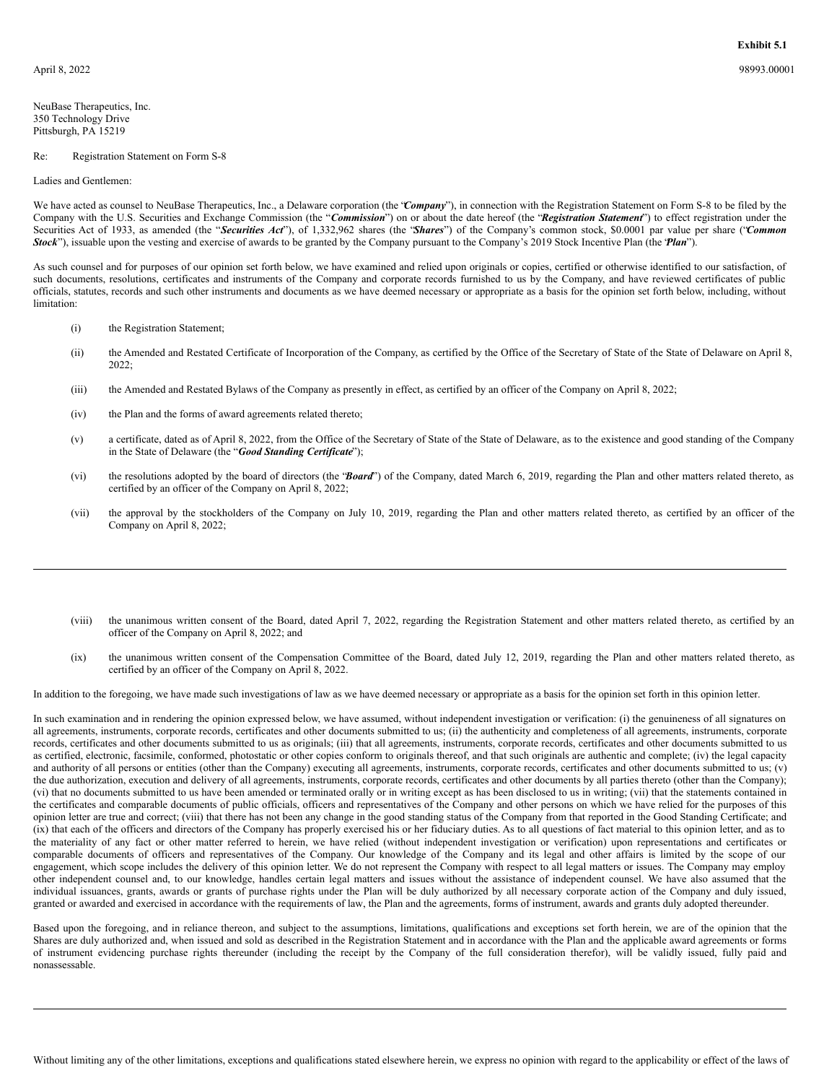<span id="page-3-0"></span>NeuBase Therapeutics, Inc. 350 Technology Drive Pittsburgh, PA 15219

#### Re: Registration Statement on Form S-8

#### Ladies and Gentlemen:

We have acted as counsel to NeuBase Therapeutics, Inc., a Delaware corporation (the *'Company*'), in connection with the Registration Statement on Form S-8 to be filed by the Company with the U.S. Securities and Exchange Commission (the "*Commission*") on or about the date hereof (the "*Registration Statement*") to effect registration under the Securities Act of 1933, as amended (the "*Securities Act*"), of 1,332,962 shares (the "*Shares*") of the Company's common stock, \$0.0001 par value per share ("*Common Stock*"), issuable upon the vesting and exercise of awards to be granted by the Company pursuant to the Company's 2019 Stock Incentive Plan (the "*Plan*").

As such counsel and for purposes of our opinion set forth below, we have examined and relied upon originals or copies, certified or otherwise identified to our satisfaction, of such documents, resolutions, certificates and instruments of the Company and corporate records furnished to us by the Company, and have reviewed certificates of public officials, statutes, records and such other instruments and documents as we have deemed necessary or appropriate as a basis for the opinion set forth below, including, without limitation:

- (i) the Registration Statement;
- (ii) the Amended and Restated Certificate of Incorporation of the Company, as certified by the Office of the Secretary of State of the State of Delaware on April 8, 2022;
- (iii) the Amended and Restated Bylaws of the Company as presently in effect, as certified by an officer of the Company on April 8, 2022;
- (iv) the Plan and the forms of award agreements related thereto;
- (v) a certificate, dated as of April 8, 2022, from the Office of the Secretary of State of the State of Delaware, as to the existence and good standing of the Company in the State of Delaware (the "*Good Standing Certificate*");
- (vi) the resolutions adopted by the board of directors (the "*Board*") of the Company, dated March 6, 2019, regarding the Plan and other matters related thereto, as certified by an officer of the Company on April 8, 2022;
- (vii) the approval by the stockholders of the Company on July 10, 2019, regarding the Plan and other matters related thereto, as certified by an officer of the Company on April 8, 2022;
- (viii) the unanimous written consent of the Board, dated April 7, 2022, regarding the Registration Statement and other matters related thereto, as certified by an officer of the Company on April 8, 2022; and
- (ix) the unanimous written consent of the Compensation Committee of the Board, dated July 12, 2019, regarding the Plan and other matters related thereto, as certified by an officer of the Company on April 8, 2022.

In addition to the foregoing, we have made such investigations of law as we have deemed necessary or appropriate as a basis for the opinion set forth in this opinion letter.

In such examination and in rendering the opinion expressed below, we have assumed, without independent investigation or verification: (i) the genuineness of all signatures on all agreements, instruments, corporate records, certificates and other documents submitted to us; (ii) the authenticity and completeness of all agreements, instruments, corporate records, certificates and other documents submitted to us as originals; (iii) that all agreements, instruments, corporate records, certificates and other documents submitted to us as certified, electronic, facsimile, conformed, photostatic or other copies conform to originals thereof, and that such originals are authentic and complete; (iv) the legal capacity and authority of all persons or entities (other than the Company) executing all agreements, instruments, corporate records, certificates and other documents submitted to us; (v) the due authorization, execution and delivery of all agreements, instruments, corporate records, certificates and other documents by all parties thereto (other than the Company); (vi) that no documents submitted to us have been amended or terminated orally or in writing except as has been disclosed to us in writing; (vii) that the statements contained in the certificates and comparable documents of public officials, officers and representatives of the Company and other persons on which we have relied for the purposes of this opinion letter are true and correct; (viii) that there has not been any change in the good standing status of the Company from that reported in the Good Standing Certificate; and (ix) that each of the officers and directors of the Company has properly exercised his or her fiduciary duties. As to all questions of fact material to this opinion letter, and as to the materiality of any fact or other matter referred to herein, we have relied (without independent investigation or verification) upon representations and certificates or comparable documents of officers and representatives of the Company. Our knowledge of the Company and its legal and other affairs is limited by the scope of our engagement, which scope includes the delivery of this opinion letter. We do not represent the Company with respect to all legal matters or issues. The Company may employ other independent counsel and, to our knowledge, handles certain legal matters and issues without the assistance of independent counsel. We have also assumed that the individual issuances, grants, awards or grants of purchase rights under the Plan will be duly authorized by all necessary corporate action of the Company and duly issued, granted or awarded and exercised in accordance with the requirements of law, the Plan and the agreements, forms of instrument, awards and grants duly adopted thereunder.

Based upon the foregoing, and in reliance thereon, and subject to the assumptions, limitations, qualifications and exceptions set forth herein, we are of the opinion that the Shares are duly authorized and, when issued and sold as described in the Registration Statement and in accordance with the Plan and the applicable award agreements or forms of instrument evidencing purchase rights thereunder (including the receipt by the Company of the full consideration therefor), will be validly issued, fully paid and nonassessable.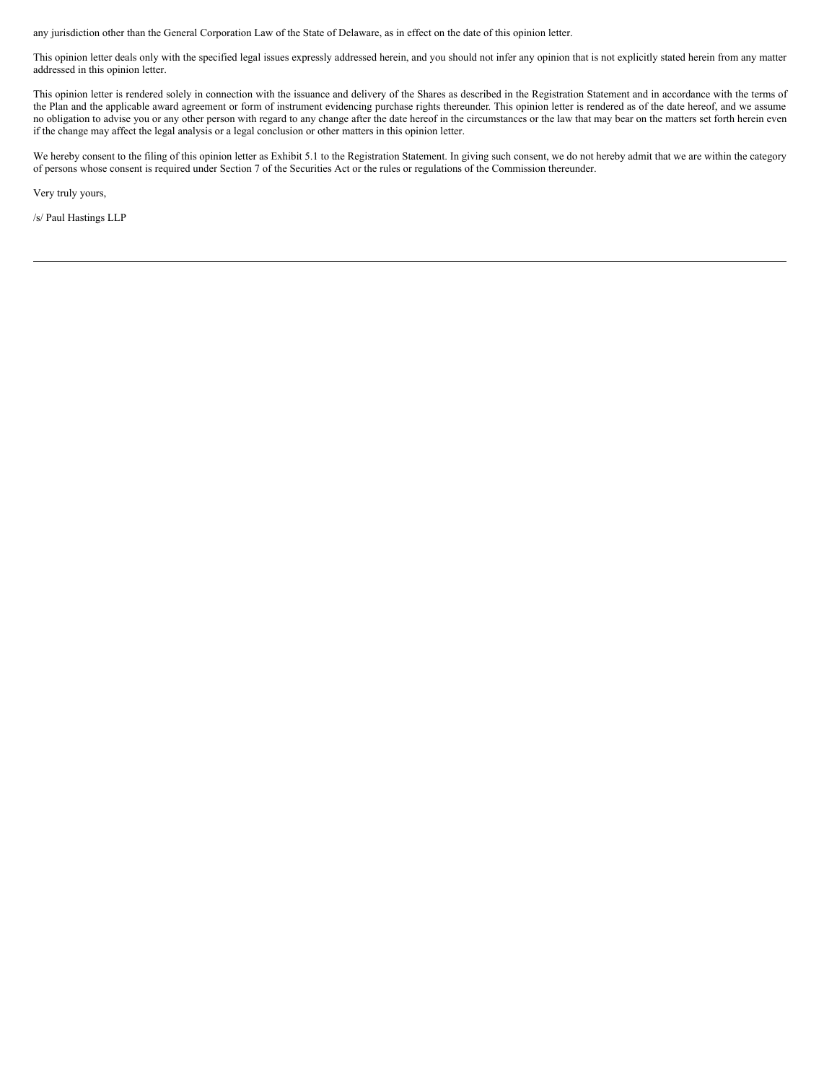any jurisdiction other than the General Corporation Law of the State of Delaware, as in effect on the date of this opinion letter.

This opinion letter deals only with the specified legal issues expressly addressed herein, and you should not infer any opinion that is not explicitly stated herein from any matter addressed in this opinion letter.

This opinion letter is rendered solely in connection with the issuance and delivery of the Shares as described in the Registration Statement and in accordance with the terms of the Plan and the applicable award agreement or form of instrument evidencing purchase rights thereunder. This opinion letter is rendered as of the date hereof, and we assume no obligation to advise you or any other person with regard to any change after the date hereof in the circumstances or the law that may bear on the matters set forth herein even if the change may affect the legal analysis or a legal conclusion or other matters in this opinion letter.

We hereby consent to the filing of this opinion letter as Exhibit 5.1 to the Registration Statement. In giving such consent, we do not hereby admit that we are within the category of persons whose consent is required under Section 7 of the Securities Act or the rules or regulations of the Commission thereunder.

Very truly yours,

/s/ Paul Hastings LLP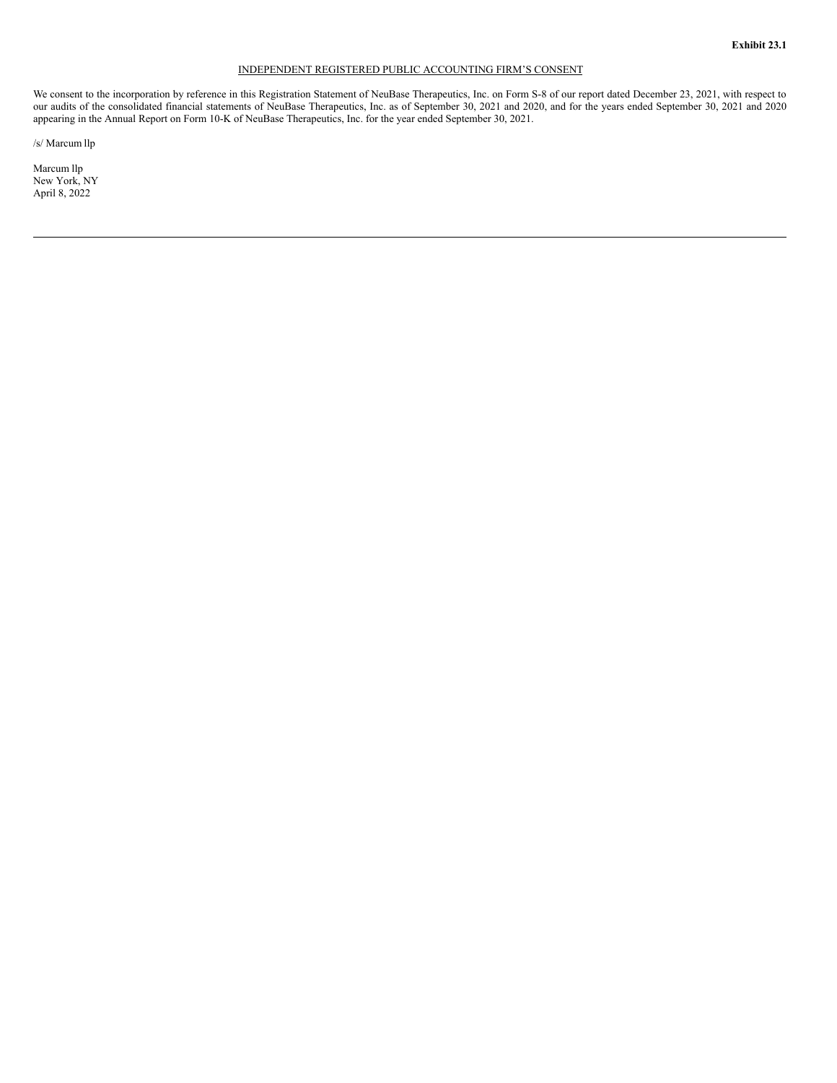# INDEPENDENT REGISTERED PUBLIC ACCOUNTING FIRM'S CONSENT

<span id="page-5-0"></span>We consent to the incorporation by reference in this Registration Statement of NeuBase Therapeutics, Inc. on Form S-8 of our report dated December 23, 2021, with respect to our audits of the consolidated financial statements of NeuBase Therapeutics, Inc. as of September 30, 2021 and 2020, and for the years ended September 30, 2021 and 2020 appearing in the Annual Report on Form 10-K of NeuBase Therapeutics, Inc. for the year ended September 30, 2021.

/s/ Marcum llp

Marcum llp New York, NY April 8, 2022